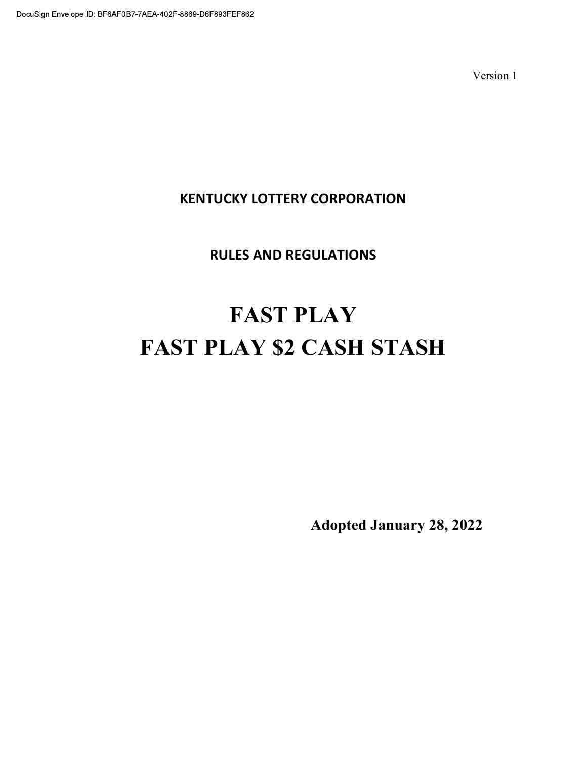# KENTUCKY LOTTERY CORPORATION

# RULES AND REGULATIONS

# FAST PLAY FAST PLAY \$2 CASH STASH

Adopted January 28, 2022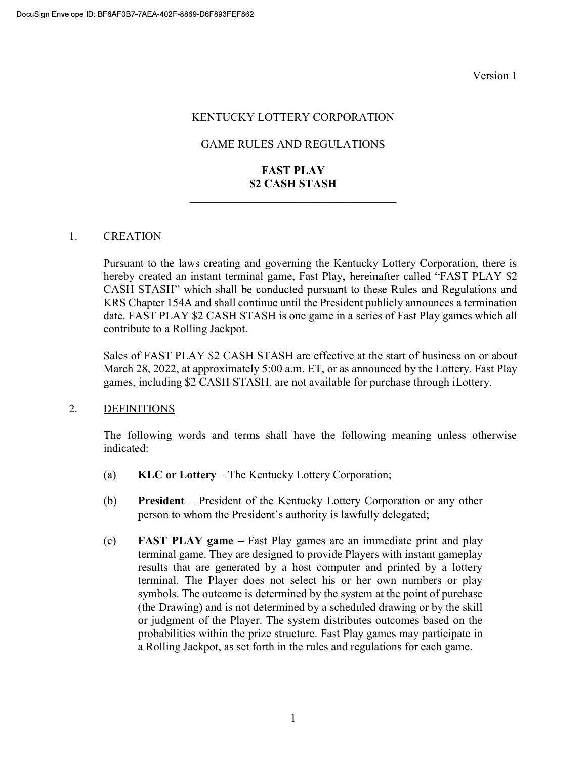#### KENTUCKY LOTTERY CORPORATION

#### GAME RULES AND REGULATIONS

# FAST PLAY \$2 CASH STASH

#### 1. CREATION

Pursuant to the laws creating and governing the Kentucky Lottery Corporation, there is hereby created an instant terminal game, Fast Play, hereinafter called "FAST PLAY \$2 CASH STASH" which shall be conducted pursuant to these Rules and Regulations and KRS Chapter 154A and shall continue until the President publicly announces a termination date. FAST PLAY \$2 CASH STASH is one game in a series of Fast Play games which all contribute to a Rolling Jackpot.

Sales of FAST PLAY \$2 CASH STASH are effective at the start of business on or about March 28, 2022, at approximately 5:00 a.m. ET, or as announced by the Lottery. Fast Play games, including \$2 CASH STASH, are not available for purchase through iLottery.

#### 2. DEFINITIONS

The following words and terms shall have the following meaning unless otherwise indicated:

- (a)  $KLC$  or Lottery The Kentucky Lottery Corporation;
- (b) President President of the Kentucky Lottery Corporation or any other person to whom the President's authority is lawfully delegated;
- (c) FAST PLAY game Fast Play games are an immediate print and play terminal game. They are designed to provide Players with instant gameplay results that are generated by a host computer and printed by a lottery terminal. The Player does not select his or her own numbers or play symbols. The outcome is determined by the system at the point of purchase (the Drawing) and is not determined by a scheduled drawing or by the skill or judgment of the Player. The system distributes outcomes based on the probabilities within the prize structure. Fast Play games may participate in a Rolling Jackpot, as set forth in the rules and regulations for each game.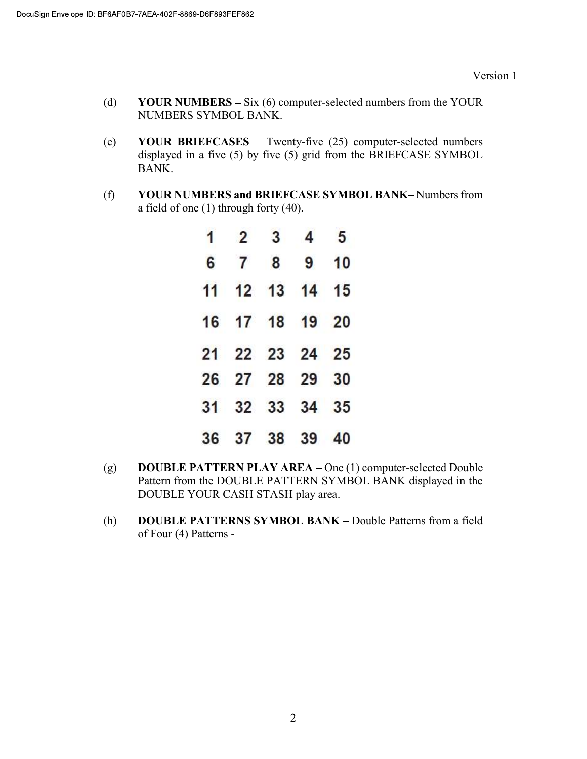- (d) YOUR NUMBERS  $-$  Six (6) computer-selected numbers from the YOUR NUMBERS SYMBOL BANK.
- (e) YOUR BRIEFCASES Twenty-five  $(25)$  computer-selected numbers displayed in a five (5) by five (5) grid from the BRIEFCASE SYMBOL BANK.
- (f) YOUR NUMBERS and BRIEFCASE SYMBOL BANK-Numbers from a field of one (1) through forty (40).

| $\mathbf{1}$ |                | $2 \quad 3 \quad 4 \quad 5$ |  |
|--------------|----------------|-----------------------------|--|
|              | 6 7 8 9 10     |                             |  |
|              | 11 12 13 14 15 |                             |  |
|              | 16 17 18 19 20 |                             |  |
|              | 21 22 23 24 25 |                             |  |
|              | 26 27 28 29 30 |                             |  |
|              | 31 32 33 34 35 |                             |  |
|              | 36 37 38 39 40 |                             |  |

- (g) DOUBLE PATTERN PLAY AREA One (1) computer-selected Double Pattern from the DOUBLE PATTERN SYMBOL BANK displayed in the DOUBLE YOUR CASH STASH play area.
- (h) DOUBLE PATTERNS SYMBOL BANK Double Patterns from a field of Four (4) Patterns -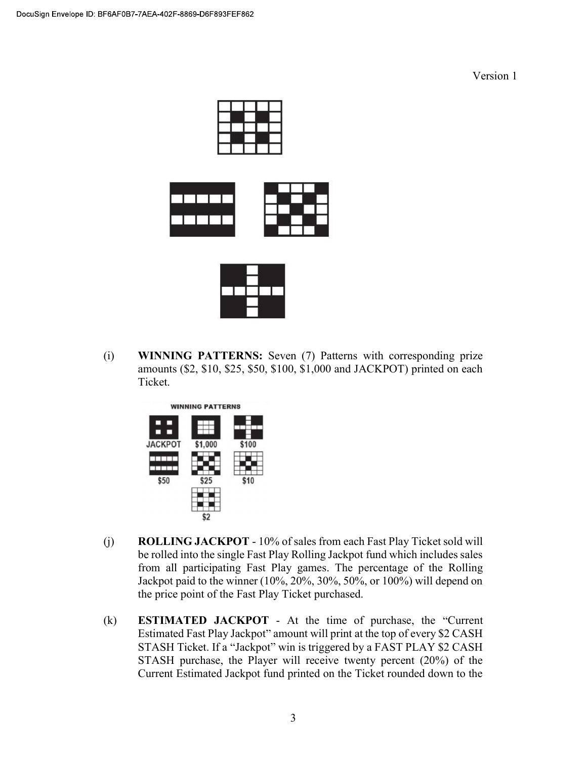





(i) WINNING PATTERNS: Seven (7) Patterns with corresponding prize amounts (\$2, \$10, \$25, \$50, \$100, \$1,000 and JACKPOT) printed on each Ticket.



- (j) ROLLING JACKPOT 10% of sales from each Fast Play Ticket sold will be rolled into the single Fast Play Rolling Jackpot fund which includes sales from all participating Fast Play games. The percentage of the Rolling Jackpot paid to the winner (10%, 20%, 30%, 50%, or 100%) will depend on the price point of the Fast Play Ticket purchased.
- $(k)$  **ESTIMATED JACKPOT** At the time of purchase, the "Current" Estimated Fast Play Jackpot" amount will print at the top of every \$2 CASH STASH Ticket. If a "Jackpot" win is triggered by a FAST PLAY \$2 CASH STASH purchase, the Player will receive twenty percent (20%) of the Current Estimated Jackpot fund printed on the Ticket rounded down to the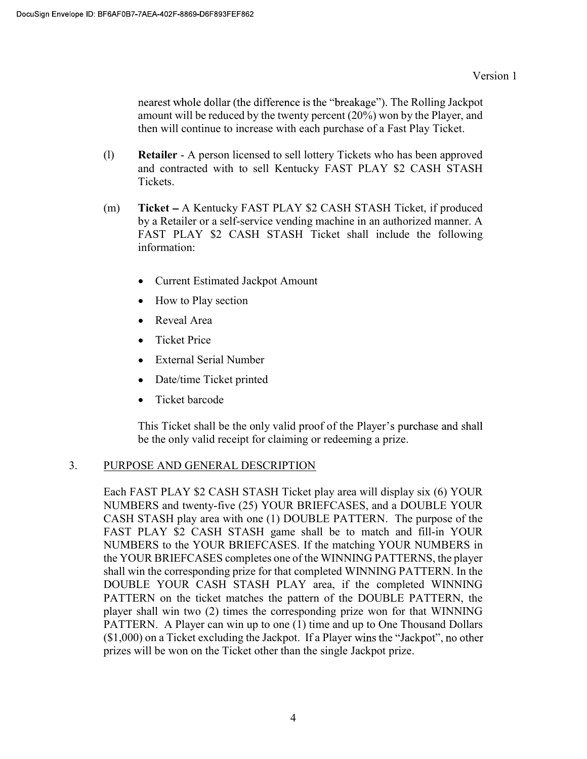nearest whole dollar (the difference is the "breakage"). The Rolling Jackpot amount will be reduced by the twenty percent (20%) won by the Player, and then will continue to increase with each purchase of a Fast Play Ticket.

- (l) Retailer A person licensed to sell lottery Tickets who has been approved and contracted with to sell Kentucky FAST PLAY \$2 CASH STASH Tickets.
- (m) Ticket A Kentucky FAST PLAY \$2 CASH STASH Ticket, if produced by a Retailer or a self-service vending machine in an authorized manner. A FAST PLAY \$2 CASH STASH Ticket shall include the following information:
	- Current Estimated Jackpot Amount
	- How to Play section
	- Reveal Area  $\bullet$
	- Ticket Price  $\bullet$
	- External Serial Number  $\bullet$
	- Date/time Ticket printed  $\bullet$
	- Ticket barcode

This Ticket shall be the only valid proof of the Player's purchase and shall be the only valid receipt for claiming or redeeming a prize.

# 3. PURPOSE AND GENERAL DESCRIPTION

Each FAST PLAY \$2 CASH STASH Ticket play area will display six (6) YOUR NUMBERS and twenty-five (25) YOUR BRIEFCASES, and a DOUBLE YOUR CASH STASH play area with one (1) DOUBLE PATTERN. The purpose of the FAST PLAY \$2 CASH STASH game shall be to match and fill-in YOUR NUMBERS to the YOUR BRIEFCASES. If the matching YOUR NUMBERS in the YOUR BRIEFCASES completes one of the WINNING PATTERNS, the player shall win the corresponding prize for that completed WINNING PATTERN. In the DOUBLE YOUR CASH STASH PLAY area, if the completed WINNING PATTERN on the ticket matches the pattern of the DOUBLE PATTERN, the player shall win two (2) times the corresponding prize won for that WINNING PATTERN. A Player can win up to one (1) time and up to One Thousand Dollars  $($1,000)$  on a Ticket excluding the Jackpot. If a Player wins the "Jackpot", no other prizes will be won on the Ticket other than the single Jackpot prize.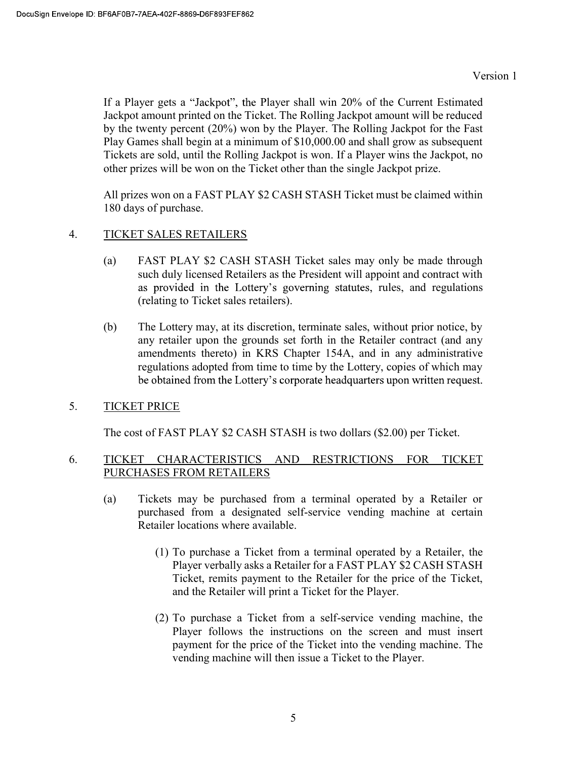If a Player gets a "Jackpot", the Player shall win 20% of the Current Estimated Jackpot amount printed on the Ticket. The Rolling Jackpot amount will be reduced by the twenty percent (20%) won by the Player. The Rolling Jackpot for the Fast Play Games shall begin at a minimum of \$10,000.00 and shall grow as subsequent Tickets are sold, until the Rolling Jackpot is won. If a Player wins the Jackpot, no other prizes will be won on the Ticket other than the single Jackpot prize.

All prizes won on a FAST PLAY \$2 CASH STASH Ticket must be claimed within 180 days of purchase.

# 4. TICKET SALES RETAILERS

- (a) FAST PLAY \$2 CASH STASH Ticket sales may only be made through such duly licensed Retailers as the President will appoint and contract with as provided in the Lottery's governing statutes, rules, and regulations (relating to Ticket sales retailers).
- (b) The Lottery may, at its discretion, terminate sales, without prior notice, by any retailer upon the grounds set forth in the Retailer contract (and any amendments thereto) in KRS Chapter 154A, and in any administrative regulations adopted from time to time by the Lottery, copies of which may be obtained from the Lottery's corporate headquarters upon written request.
- 5. TICKET PRICE

The cost of FAST PLAY \$2 CASH STASH is two dollars (\$2.00) per Ticket.

# 6. TICKET CHARACTERISTICS AND RESTRICTIONS FOR TICKET PURCHASES FROM RETAILERS

- (a) Tickets may be purchased from a terminal operated by a Retailer or purchased from a designated self-service vending machine at certain Retailer locations where available.
	- (1) To purchase a Ticket from a terminal operated by a Retailer, the Player verbally asks a Retailer for a FAST PLAY \$2 CASH STASH Ticket, remits payment to the Retailer for the price of the Ticket, and the Retailer will print a Ticket for the Player.
	- (2) To purchase a Ticket from a self-service vending machine, the Player follows the instructions on the screen and must insert payment for the price of the Ticket into the vending machine. The vending machine will then issue a Ticket to the Player.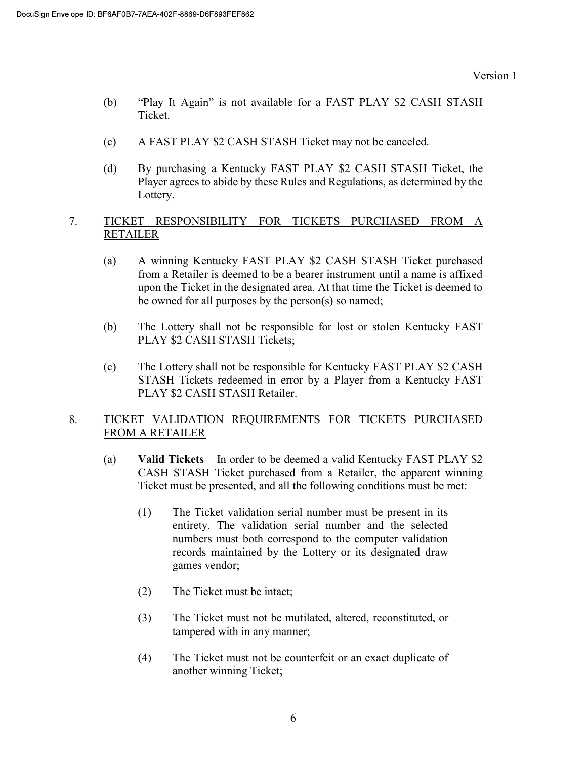- (b) "Play It Again" is not available for a FAST PLAY \$2 CASH STASH Ticket.
- (c) A FAST PLAY \$2 CASH STASH Ticket may not be canceled.
- (d) By purchasing a Kentucky FAST PLAY \$2 CASH STASH Ticket, the Player agrees to abide by these Rules and Regulations, as determined by the Lottery.

### 7. TICKET RESPONSIBILITY FOR TICKETS PURCHASED FROM A RETAILER

- (a) A winning Kentucky FAST PLAY \$2 CASH STASH Ticket purchased from a Retailer is deemed to be a bearer instrument until a name is affixed upon the Ticket in the designated area. At that time the Ticket is deemed to be owned for all purposes by the person(s) so named;
- (b) The Lottery shall not be responsible for lost or stolen Kentucky FAST PLAY \$2 CASH STASH Tickets;
- (c) The Lottery shall not be responsible for Kentucky FAST PLAY \$2 CASH STASH Tickets redeemed in error by a Player from a Kentucky FAST PLAY \$2 CASH STASH Retailer.

# 8. TICKET VALIDATION REQUIREMENTS FOR TICKETS PURCHASED FROM A RETAILER

- (a) Valid Tickets  $-$  In order to be deemed a valid Kentucky FAST PLAY \$2 CASH STASH Ticket purchased from a Retailer, the apparent winning Ticket must be presented, and all the following conditions must be met:
	- (1) The Ticket validation serial number must be present in its entirety. The validation serial number and the selected numbers must both correspond to the computer validation records maintained by the Lottery or its designated draw games vendor;
	- (2) The Ticket must be intact;
	- (3) The Ticket must not be mutilated, altered, reconstituted, or tampered with in any manner;
	- (4) The Ticket must not be counterfeit or an exact duplicate of another winning Ticket;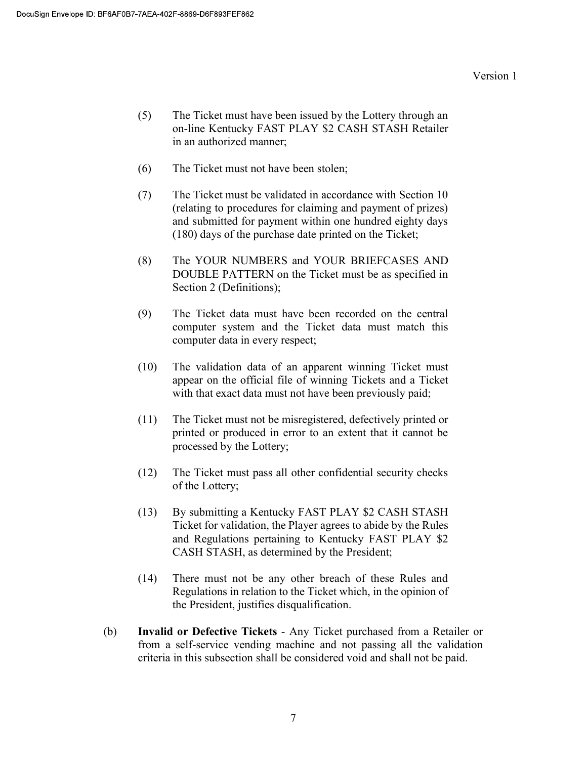- (5) The Ticket must have been issued by the Lottery through an on-line Kentucky FAST PLAY \$2 CASH STASH Retailer in an authorized manner;
- (6) The Ticket must not have been stolen;
- (7) The Ticket must be validated in accordance with Section 10 (relating to procedures for claiming and payment of prizes) and submitted for payment within one hundred eighty days (180) days of the purchase date printed on the Ticket;
- (8) The YOUR NUMBERS and YOUR BRIEFCASES AND DOUBLE PATTERN on the Ticket must be as specified in Section 2 (Definitions);
- (9) The Ticket data must have been recorded on the central computer system and the Ticket data must match this computer data in every respect;
- (10) The validation data of an apparent winning Ticket must appear on the official file of winning Tickets and a Ticket with that exact data must not have been previously paid;
- (11) The Ticket must not be misregistered, defectively printed or printed or produced in error to an extent that it cannot be processed by the Lottery;
- (12) The Ticket must pass all other confidential security checks of the Lottery;
- (13) By submitting a Kentucky FAST PLAY \$2 CASH STASH Ticket for validation, the Player agrees to abide by the Rules and Regulations pertaining to Kentucky FAST PLAY \$2 CASH STASH, as determined by the President;
- (14) There must not be any other breach of these Rules and Regulations in relation to the Ticket which, in the opinion of the President, justifies disqualification.
- (b) Invalid or Defective Tickets Any Ticket purchased from a Retailer or from a self-service vending machine and not passing all the validation criteria in this subsection shall be considered void and shall not be paid.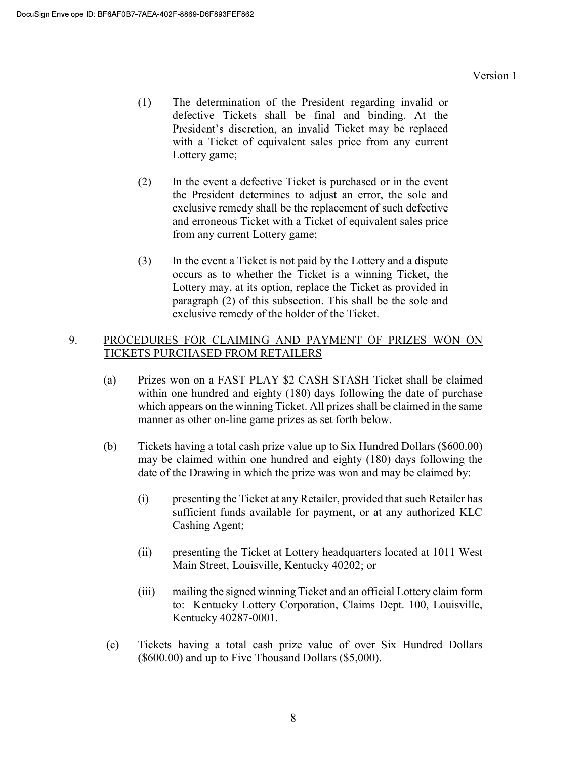- (1) The determination of the President regarding invalid or defective Tickets shall be final and binding. At the President's discretion, an invalid Ticket may be replaced with a Ticket of equivalent sales price from any current Lottery game;
- (2) In the event a defective Ticket is purchased or in the event the President determines to adjust an error, the sole and exclusive remedy shall be the replacement of such defective and erroneous Ticket with a Ticket of equivalent sales price from any current Lottery game;
- (3) In the event a Ticket is not paid by the Lottery and a dispute occurs as to whether the Ticket is a winning Ticket, the Lottery may, at its option, replace the Ticket as provided in paragraph (2) of this subsection. This shall be the sole and exclusive remedy of the holder of the Ticket.

## 9. PROCEDURES FOR CLAIMING AND PAYMENT OF PRIZES WON ON TICKETS PURCHASED FROM RETAILERS

- (a) Prizes won on a FAST PLAY \$2 CASH STASH Ticket shall be claimed within one hundred and eighty (180) days following the date of purchase which appears on the winning Ticket. All prizes shall be claimed in the same manner as other on-line game prizes as set forth below.
- (b) Tickets having a total cash prize value up to Six Hundred Dollars (\$600.00) may be claimed within one hundred and eighty (180) days following the date of the Drawing in which the prize was won and may be claimed by:
	- (i) presenting the Ticket at any Retailer, provided that such Retailer has sufficient funds available for payment, or at any authorized KLC Cashing Agent;
	- (ii) presenting the Ticket at Lottery headquarters located at 1011 West Main Street, Louisville, Kentucky 40202; or
	- (iii) mailing the signed winning Ticket and an official Lottery claim form to: Kentucky Lottery Corporation, Claims Dept. 100, Louisville, Kentucky 40287-0001.
- (c) Tickets having a total cash prize value of over Six Hundred Dollars (\$600.00) and up to Five Thousand Dollars (\$5,000).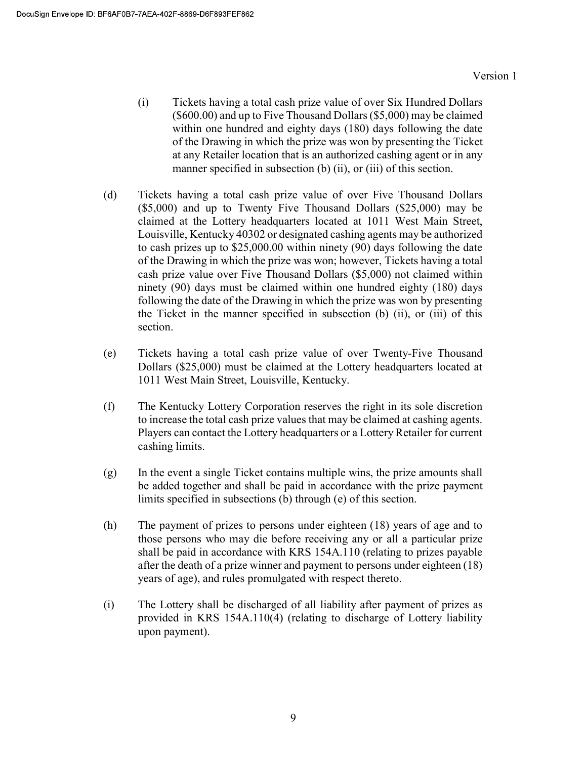- (i) Tickets having a total cash prize value of over Six Hundred Dollars (\$600.00) and up to Five Thousand Dollars (\$5,000) may be claimed within one hundred and eighty days (180) days following the date of the Drawing in which the prize was won by presenting the Ticket at any Retailer location that is an authorized cashing agent or in any manner specified in subsection (b) (ii), or (iii) of this section.
- (d) Tickets having a total cash prize value of over Five Thousand Dollars (\$5,000) and up to Twenty Five Thousand Dollars (\$25,000) may be claimed at the Lottery headquarters located at 1011 West Main Street, Louisville, Kentucky 40302 or designated cashing agents may be authorized to cash prizes up to \$25,000.00 within ninety (90) days following the date of the Drawing in which the prize was won; however, Tickets having a total cash prize value over Five Thousand Dollars (\$5,000) not claimed within ninety (90) days must be claimed within one hundred eighty (180) days following the date of the Drawing in which the prize was won by presenting the Ticket in the manner specified in subsection (b) (ii), or (iii) of this section.
- (e) Tickets having a total cash prize value of over Twenty-Five Thousand Dollars (\$25,000) must be claimed at the Lottery headquarters located at 1011 West Main Street, Louisville, Kentucky.
- (f) The Kentucky Lottery Corporation reserves the right in its sole discretion to increase the total cash prize values that may be claimed at cashing agents. Players can contact the Lottery headquarters or a Lottery Retailer for current cashing limits.
- (g) In the event a single Ticket contains multiple wins, the prize amounts shall be added together and shall be paid in accordance with the prize payment limits specified in subsections (b) through (e) of this section.
- (h) The payment of prizes to persons under eighteen (18) years of age and to those persons who may die before receiving any or all a particular prize shall be paid in accordance with KRS 154A.110 (relating to prizes payable after the death of a prize winner and payment to persons under eighteen (18) years of age), and rules promulgated with respect thereto.
- (i) The Lottery shall be discharged of all liability after payment of prizes as provided in KRS 154A.110(4) (relating to discharge of Lottery liability upon payment).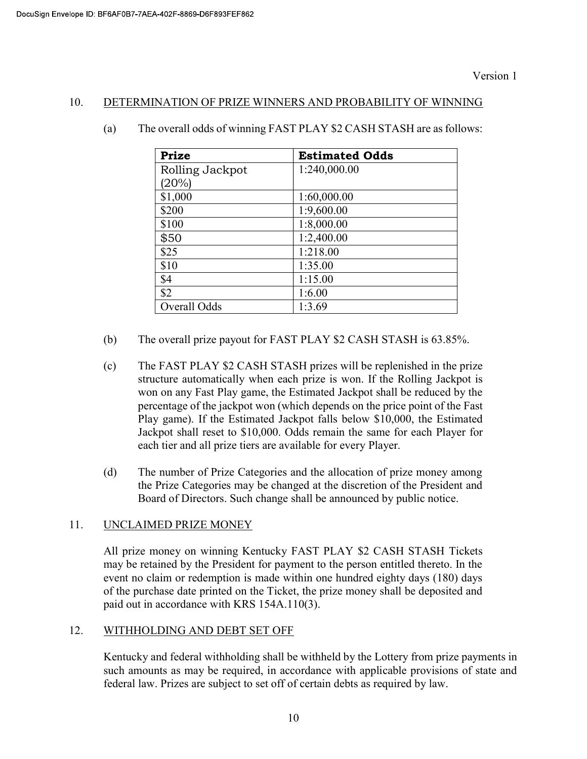#### 10. DETERMINATION OF PRIZE WINNERS AND PROBABILITY OF WINNING

| Prize           | <b>Estimated Odds</b> |  |  |
|-----------------|-----------------------|--|--|
| Rolling Jackpot | 1:240,000.00          |  |  |
| (20%)           |                       |  |  |
| \$1,000         | 1:60,000.00           |  |  |
| \$200           | 1:9,600.00            |  |  |
| \$100           | 1:8,000.00            |  |  |
| \$50            | 1:2,400.00            |  |  |
| \$25            | 1:218.00              |  |  |
| \$10            | 1:35.00               |  |  |
| \$4             | 1:15.00               |  |  |
| \$2             | 1:6.00                |  |  |
| Overall Odds    | 1:3.69                |  |  |

(a) The overall odds of winning FAST PLAY \$2 CASH STASH are as follows:

- (b) The overall prize payout for FAST PLAY \$2 CASH STASH is 63.85%.
- (c) The FAST PLAY \$2 CASH STASH prizes will be replenished in the prize structure automatically when each prize is won. If the Rolling Jackpot is won on any Fast Play game, the Estimated Jackpot shall be reduced by the percentage of the jackpot won (which depends on the price point of the Fast Play game). If the Estimated Jackpot falls below \$10,000, the Estimated Jackpot shall reset to \$10,000. Odds remain the same for each Player for each tier and all prize tiers are available for every Player.
- (d) The number of Prize Categories and the allocation of prize money among the Prize Categories may be changed at the discretion of the President and Board of Directors. Such change shall be announced by public notice.

# 11. UNCLAIMED PRIZE MONEY

All prize money on winning Kentucky FAST PLAY \$2 CASH STASH Tickets may be retained by the President for payment to the person entitled thereto. In the event no claim or redemption is made within one hundred eighty days (180) days of the purchase date printed on the Ticket, the prize money shall be deposited and paid out in accordance with KRS 154A.110(3).

#### 12. WITHHOLDING AND DEBT SET OFF

 Kentucky and federal withholding shall be withheld by the Lottery from prize payments in such amounts as may be required, in accordance with applicable provisions of state and federal law. Prizes are subject to set off of certain debts as required by law.